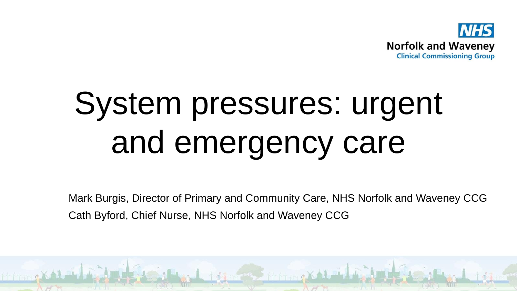

# System pressures: urgent and emergency care

Mark Burgis, Director of Primary and Community Care, NHS Norfolk and Waveney CCG Cath Byford, Chief Nurse, NHS Norfolk and Waveney CCG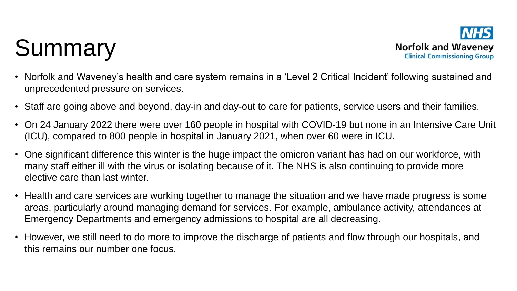## Summary



- Norfolk and Waveney's health and care system remains in a 'Level 2 Critical Incident' following sustained and unprecedented pressure on services.
- Staff are going above and beyond, day-in and day-out to care for patients, service users and their families.
- On 24 January 2022 there were over 160 people in hospital with COVID-19 but none in an Intensive Care Unit (ICU), compared to 800 people in hospital in January 2021, when over 60 were in ICU.
- One significant difference this winter is the huge impact the omicron variant has had on our workforce, with many staff either ill with the virus or isolating because of it. The NHS is also continuing to provide more elective care than last winter.
- Health and care services are working together to manage the situation and we have made progress is some areas, particularly around managing demand for services. For example, ambulance activity, attendances at Emergency Departments and emergency admissions to hospital are all decreasing.
- However, we still need to do more to improve the discharge of patients and flow through our hospitals, and this remains our number one focus.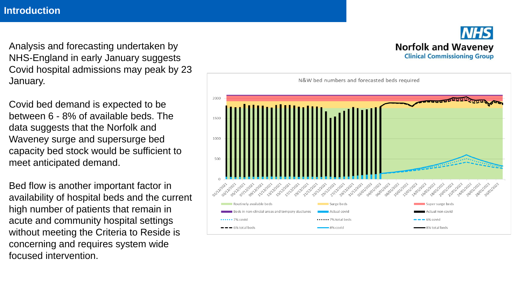**Introduction**

Analysis and forecasting undertaken by NHS-England in early January suggests Covid hospital admissions may peak by 23 January.

Covid bed demand is expected to be between 6 - 8% of available beds. The data suggests that the Norfolk and Waveney surge and supersurge bed capacity bed stock would be sufficient to meet anticipated demand.

Bed flow is another important factor in availability of hospital beds and the current high number of patients that remain in acute and community hospital settings without meeting the Criteria to Reside is concerning and requires system wide focused intervention.



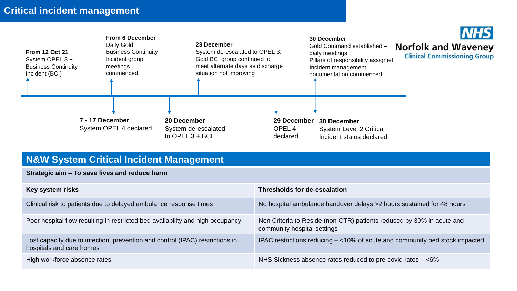#### **Critical incident management**



#### **N&W System Critical Incident Management**

**Strategic aim – To save lives and reduce harm**

| Key system risks                                                                                          | <b>Thresholds for de-escalation</b>                                                                  |
|-----------------------------------------------------------------------------------------------------------|------------------------------------------------------------------------------------------------------|
| Clinical risk to patients due to delayed ambulance response times                                         | No hospital ambulance handover delays >2 hours sustained for 48 hours                                |
| Poor hospital flow resulting in restricted bed availability and high occupancy                            | Non Criteria to Reside (non-CTR) patients reduced by 30% in acute and<br>community hospital settings |
| Lost capacity due to infection, prevention and control (IPAC) restrictions in<br>hospitals and care homes | IPAC restrictions reducing $-$ <10% of acute and community bed stock impacted                        |
| High workforce absence rates                                                                              | NHS Sickness absence rates reduced to pre-covid rates $-$ <6%                                        |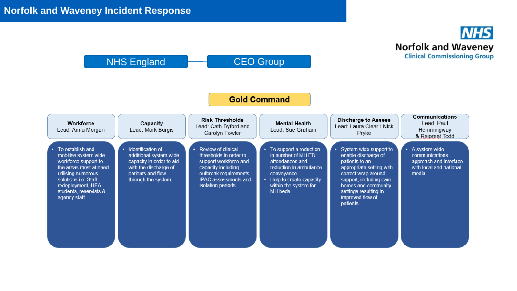

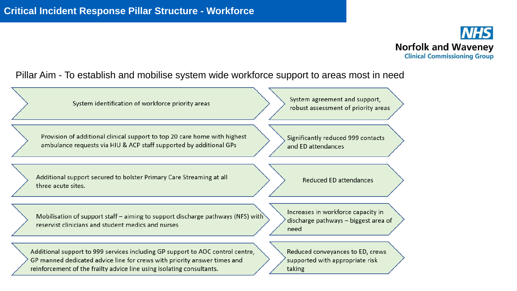

#### Pillar Aim - To establish and mobilise system wide workforce support to areas most in need

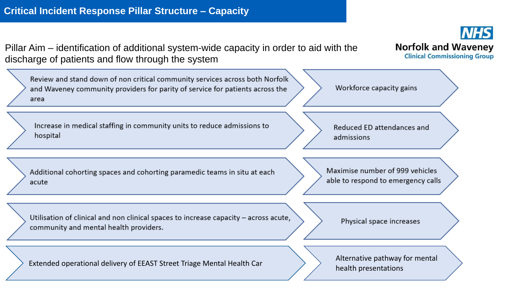**Norfolk and Waveney** Pillar Aim – identification of additional system-wide capacity in order to aid with the **Clinical Commissioning Group** discharge of patients and flow through the system Review and stand down of non critical community services across both Norfolk Workforce capacity gains and Waveney community providers for parity of service for patients across the area Increase in medical staffing in community units to reduce admissions to Reduced ED attendances and hospital admissions Maximise number of 999 vehicles Additional cohorting spaces and cohorting paramedic teams in situ at each  $\longrightarrow$   $\longrightarrow$   $\longrightarrow$   $\longrightarrow$ acute mental health presentations  $\overline{a}$ Utilisation of clinical and non clinical spaces to increase capacity - across acute, Physical space increases community and mental health providers. Extended operational delivery of EEAST Street Triage Mental Health Car  $\longrightarrow$  Alternative pathway for mental health presentations

**NHS**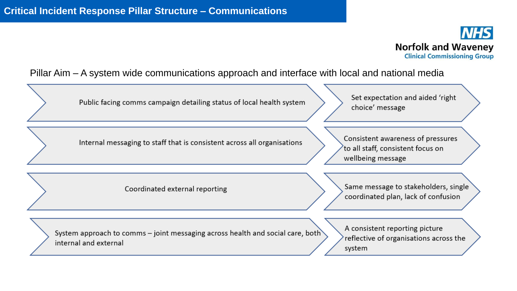

#### Pillar Aim – A system wide communications approach and interface with local and national media

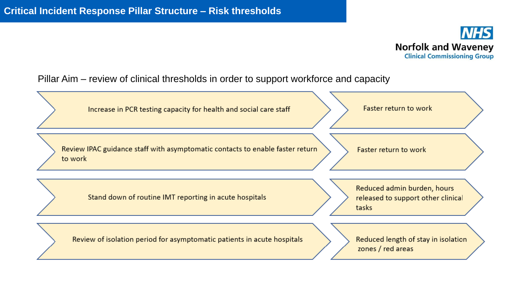

Pillar Aim – review of clinical thresholds in order to support workforce and capacity

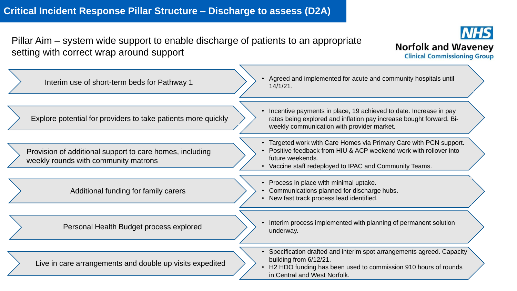Pillar Aim – system wide support to enable discharge of patients to an appropriate setting with correct wrap around support



| Interim use of short-term beds for Pathway 1                                                     | Agreed and implemented for acute and community hospitals until<br>14/1/21.                                                                                                                                          |
|--------------------------------------------------------------------------------------------------|---------------------------------------------------------------------------------------------------------------------------------------------------------------------------------------------------------------------|
| Explore potential for providers to take patients more quickly                                    | Incentive payments in place, 19 achieved to date. Increase in pay<br>rates being explored and inflation pay increase bought forward. Bi-<br>weekly communication with provider market.                              |
| Provision of additional support to care homes, including<br>weekly rounds with community matrons | • Targeted work with Care Homes via Primary Care with PCN support.<br>Positive feedback from HIU & ACP weekend work with rollover into<br>future weekends.<br>Vaccine staff redeployed to IPAC and Community Teams. |
| Additional funding for family carers                                                             | • Process in place with minimal uptake.<br>• Communications planned for discharge hubs.<br>New fast track process lead identified.                                                                                  |
| Personal Health Budget process explored                                                          | Interim process implemented with planning of permanent solution<br>underway.                                                                                                                                        |
| Live in care arrangements and double up visits expedited                                         | • Specification drafted and interim spot arrangements agreed. Capacity<br>building from 6/12/21.<br>H2 HDO funding has been used to commission 910 hours of rounds<br>in Central and West Norfolk.                  |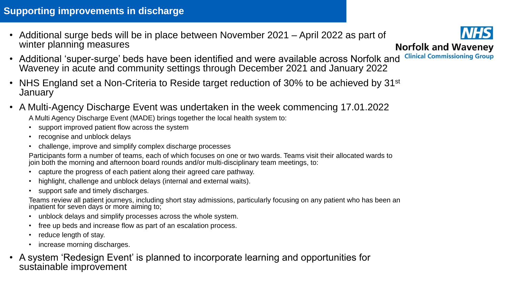### **Supporting improvements in discharge**

• Additional surge beds will be in place between November 2021 – April 2022 as part of winter planning measures



- Additional 'super-surge' beds have been identified and were available across Norfolk and Waveney in acute and community settings through December 2021 and January 2022
- NHS England set a Non-Criteria to Reside target reduction of 30% to be achieved by 31<sup>st</sup> January
- A Multi-Agency Discharge Event was undertaken in the week commencing 17.01.2022

A Multi Agency Discharge Event (MADE) brings together the local health system to:

- support improved patient flow across the system
- recognise and unblock delays
- challenge, improve and simplify complex discharge processes

Participants form a number of teams, each of which focuses on one or two wards. Teams visit their allocated wards to join both the morning and afternoon board rounds and/or multi-disciplinary team meetings, to:

- capture the progress of each patient along their agreed care pathway.
- highlight, challenge and unblock delays (internal and external waits).
- support safe and timely discharges.

Teams review all patient journeys, including short stay admissions, particularly focusing on any patient who has been an inpatient for seven days or more aiming to;

- unblock delays and simplify processes across the whole system.
- free up beds and increase flow as part of an escalation process.
- reduce length of stay.
- increase morning discharges.
- A system 'Redesign Event' is planned to incorporate learning and opportunities for sustainable improvement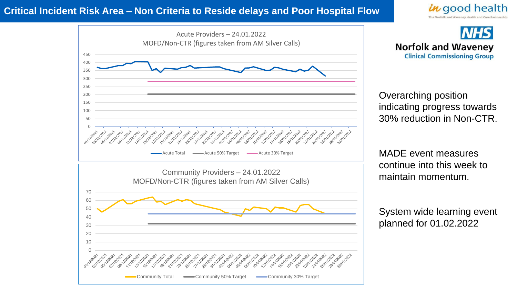#### **Critical Incident Risk Area – Non Criteria to Reside delays and Poor Hospital Flow**







Community Total  $\longrightarrow$  Community 50% Target  $\longrightarrow$  Community 30% Target

**NHS Norfolk and Waveney Clinical Commissioning Group** 

Overarching position indicating progress towards 30% reduction in Non-CTR.

MADE event measures continue into this week to maintain momentum.

System wide learning event planned for 01.02.2022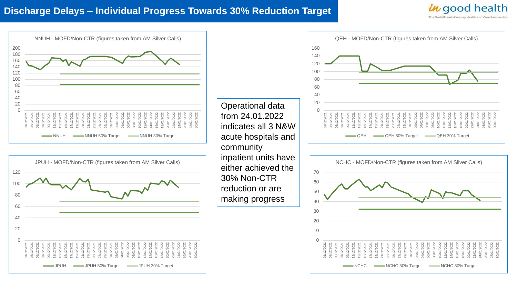#### **Discharge Delays – Individual Progress Towards 30% Reduction Target**



30/01/2022

28/01/2022 30/01/2022

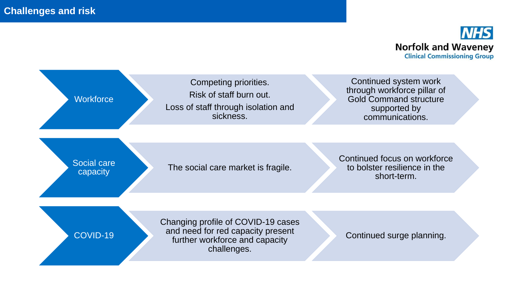